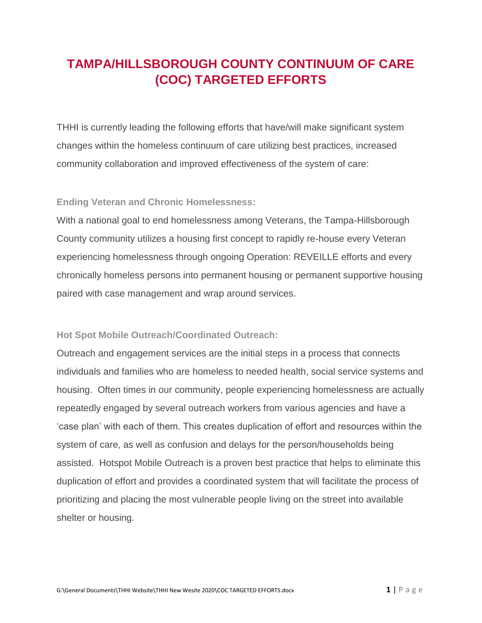## **TAMPA/HILLSBOROUGH COUNTY CONTINUUM OF CARE (COC) TARGETED EFFORTS**

THHI is currently leading the following efforts that have/will make significant system changes within the homeless continuum of care utilizing best practices, increased community collaboration and improved effectiveness of the system of care:

## **Ending Veteran and Chronic Homelessness:**

With a national goal to end homelessness among Veterans, the Tampa-Hillsborough County community utilizes a housing first concept to rapidly re-house every Veteran experiencing homelessness through ongoing Operation: REVEILLE efforts and every chronically homeless persons into permanent housing or permanent supportive housing paired with case management and wrap around services.

## **Hot Spot Mobile Outreach/Coordinated Outreach:**

Outreach and engagement services are the initial steps in a process that connects individuals and families who are homeless to needed health, social service systems and housing. Often times in our community, people experiencing homelessness are actually repeatedly engaged by several outreach workers from various agencies and have a 'case plan' with each of them. This creates duplication of effort and resources within the system of care, as well as confusion and delays for the person/households being assisted. Hotspot Mobile Outreach is a proven best practice that helps to eliminate this duplication of effort and provides a coordinated system that will facilitate the process of prioritizing and placing the most vulnerable people living on the street into available shelter or housing.